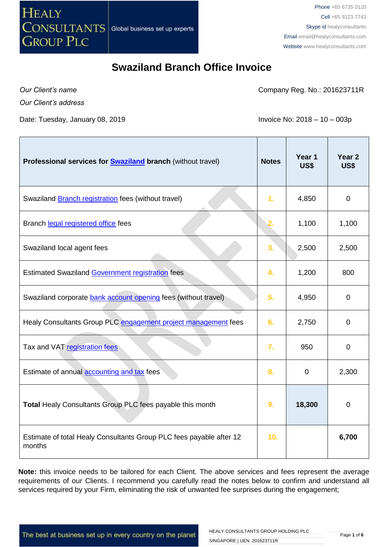

*Our Client's name*

Company Reg. No.: 201623711R

*Our Client's address*

Date: Tuesday, January 08, 2019 **Invoice No: 2018 – 10 – 003p** 

| Professional services for <b>Swaziland branch</b> (without travel)            | <b>Notes</b>   | Year 1<br>US\$ | Year <sub>2</sub><br>US\$ |
|-------------------------------------------------------------------------------|----------------|----------------|---------------------------|
| Swaziland <b>Branch registration</b> fees (without travel)                    | 1 <sub>r</sub> | 4,850          | $\mathbf 0$               |
| Branch legal registered office fees                                           | 2.             | 1,100          | 1,100                     |
| Swaziland local agent fees                                                    | 3.             | 2,500          | 2,500                     |
| <b>Estimated Swaziland Government registration fees</b>                       | 4.             | 1,200          | 800                       |
| Swaziland corporate bank account opening fees (without travel)                | 5.             | 4,950          | $\overline{0}$            |
| Healy Consultants Group PLC engagement project management fees                | 6.             | 2,750          | 0                         |
| Tax and VAT registration fees                                                 | 7.             | 950            | 0                         |
| Estimate of annual accounting and tax fees                                    | 8.             | $\mathbf 0$    | 2,300                     |
| Total Healy Consultants Group PLC fees payable this month                     | 9.             | 18,300         | 0                         |
| Estimate of total Healy Consultants Group PLC fees payable after 12<br>months | 10.            |                | 6,700                     |

**Note:** this invoice needs to be tailored for each Client. The above services and fees represent the average requirements of our Clients. I recommend you carefully read the notes below to confirm and understand all services required by your Firm, eliminating the risk of unwanted fee surprises during the engagement;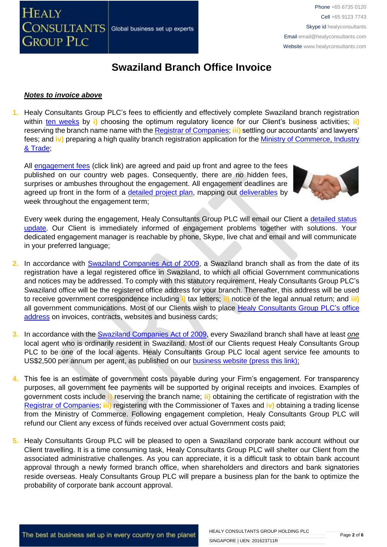

#### *Notes to invoice above*

**1.** Healy Consultants Group PLC's fees to efficiently and effectively complete Swaziland branch registration within [ten weeks](http://www.healyconsultants.com/swaziland-company-registration/fees-timelines/) by **i**) choosing the optimum regulatory licence for our Client's business activities; **ii**) reserving the branch name name with the [Registrar of Companies;](http://www.gov.sz/index.php?option=com_content&id=522&Itemid=254) **iii)** settling our accountants' and lawyers' fees; and **iv)** preparing a high quality branch registration application for the [Ministry of Commerce, Industry](http://www.gov.sz/index.php?option=com_content&view=article&id=228&Itemid=306)  [& Trade;](http://www.gov.sz/index.php?option=com_content&view=article&id=228&Itemid=306)

All [engagement fees](http://www.healyconsultants.com/company-registration-fees/) (click link) are agreed and paid up front and agree to the fees published on our country web pages. Consequently, there are no hidden fees, surprises or ambushes throughout the engagement. All engagement deadlines are agreed up front in the form of a [detailed project plan,](http://www.healyconsultants.com/index-important-links/example-project-plan/) mapping out [deliverables](http://www.healyconsultants.com/deliverables-to-our-clients/) by week throughout the engagement term;



Every week during the engagement, Healy Consultants Group PLC will email our Client a [detailed status](http://www.healyconsultants.com/index-important-links/weekly-engagement-status-email/)  [update.](http://www.healyconsultants.com/index-important-links/weekly-engagement-status-email/) Our Client is immediately informed of engagement problems together with solutions. Your dedicated engagement manager is reachable by phone, Skype, live chat and email and will communicate in your preferred language;

- **2.** In accordance with [Swaziland Companies Act](http://www.gov.sz/index.php?option=com_content&id=377&Itemid=141) of 2009, a Swaziland branch shall as from the date of its registration have a legal registered office in Swaziland, to which all official Government communications and notices may be addressed. To comply with this statutory requirement, Healy Consultants Group PLC's Swaziland office will be the registered office address for your branch. Thereafter, this address will be used to receive government correspondence including **i)** tax letters; **ii)** notice of the legal annual return; and **iii)**  all government communications. Most of our Clients wish to place [Healy Consultants Group PLC's](http://www.healyconsultants.com/corporate-outsourcing-services/company-secretary-and-legal-registered-office/) office [address](http://www.healyconsultants.com/corporate-outsourcing-services/company-secretary-and-legal-registered-office/) on invoices, contracts, websites and business cards;
- **3.** In accordance with the [Swaziland Companies Act](http://www.gov.sz/index.php?option=com_content&id=377&Itemid=141) of 2009, every Swaziland branch shall have at least *one* local agent who is ordinarily resident in Swaziland. Most of our Clients request Healy Consultants Group PLC to be one of the local agents. Healy Consultants Group PLC local agent service fee amounts to US\$2,500 per annum per agent, as published on our business website (press this link);
- **4.** This fee is an estimate of government costs payable during your Firm's engagement. For transparency purposes, all government fee payments will be supported by original receipts and invoices. Examples of government costs include **i)** reserving the branch name; **ii)** obtaining the certificate of registration with the [Registrar of Companies;](http://www.gov.sz/index.php?option=com_content&id=522&Itemid=254) **iii)** registering with the Commissioner of Taxes and **iv)** obtaining a trading license from the Ministry of Commerce. Following engagement completion, Healy Consultants Group PLC will refund our Client any excess of funds received over actual Government costs paid;
- **5.** Healy Consultants Group PLC will be pleased to open a Swaziland corporate bank account without our Client travelling. It is a time consuming task, Healy Consultants Group PLC will shelter our Client from the associated administrative challenges. As you can appreciate, it is a difficult task to obtain bank account approval through a newly formed branch office, when shareholders and directors and bank signatories reside overseas. Healy Consultants Group PLC will prepare a business plan for the bank to optimize the probability of corporate bank account approval.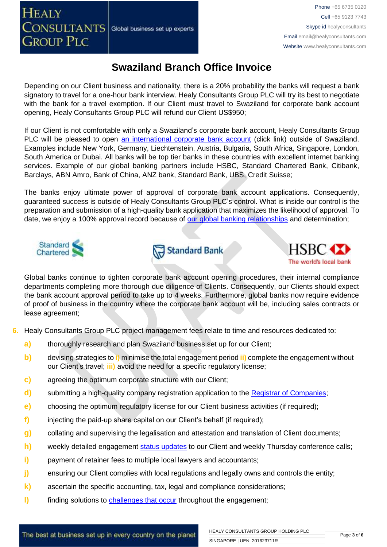Phone +65 6735 0120 Cell +65 9123 7743 Skype id healyconsultants Email [email@healyconsultants.com](mailto:EMAIL@HEALYCONSULTANTS.COM) Website [www.healyconsultants.com](http://www.healyconsultants.com/)

## **Swaziland Branch Office Invoice**

Depending on our Client business and nationality, there is a 20% probability the banks will request a bank signatory to travel for a one-hour bank interview. Healy Consultants Group PLC will try its best to negotiate with the bank for a travel exemption. If our Client must travel to Swaziland for corporate bank account opening, Healy Consultants Group PLC will refund our Client US\$950;

If our Client is not comfortable with only a Swaziland's corporate bank account, Healy Consultants Group PLC will be pleased to open [an international corporate bank account](http://www.healyconsultants.com/international-banking/) (click link) outside of Swaziland. Examples include New York, Germany, Liechtenstein, Austria, Bulgaria, South Africa, Singapore, London, South America or Dubai. All banks will be top tier banks in these countries with excellent internet banking services. Example of our global banking partners include HSBC, Standard Chartered Bank, Citibank, Barclays, ABN Amro, Bank of China, ANZ bank, Standard Bank, UBS, Credit Suisse;

The banks enjoy ultimate power of approval of corporate bank account applications. Consequently, guaranteed success is outside of Healy Consultants Group PLC's control. What is inside our control is the preparation and submission of a high-quality bank application that maximizes the likelihood of approval. To date, we enjoy a 100% approval record because of [our global banking relationships](http://www.healyconsultants.com/international-banking/corporate-accounts/) and determination;



**HEALY** 

**GROUP PLC** 





Global banks continue to tighten corporate bank account opening procedures, their internal compliance departments completing more thorough due diligence of Clients. Consequently, our Clients should expect the bank account approval period to take up to 4 weeks. Furthermore, global banks now require evidence of proof of business in the country where the corporate bank account will be, including sales contracts or lease agreement;

- **6.** Healy Consultants Group PLC project management fees relate to time and resources dedicated to:
	- **a)** thoroughly research and plan Swaziland business set up for our Client;
	- **b)** devising strategies to **i)** minimise the total engagement period **ii)** complete the engagement without our Client's travel; **iii)** avoid the need for a specific regulatory license;
	- **c)** agreeing the optimum corporate structure with our Client;
	- **d)** submitting a high-quality company registration application to the [Registrar of Companies](http://www.gov.sz/index.php?option=com_content&id=522&Itemid=254)[;](http://www.dubaided.gov.ae/en/Pages/default.aspx)
	- **e)** choosing the optimum regulatory license for our Client business activities (if required);
	- **f)** injecting the paid-up share capital on our Client's behalf (if required);
	- **g)** collating and supervising the legalisation and attestation and translation of Client documents;
	- **h)** weekly detailed engagement [status updates](http://www.healyconsultants.com/index-important-links/weekly-engagement-status-email/) to our Client and weekly Thursday conference calls;
	- **i)** payment of retainer fees to multiple local lawyers and accountants;
	- **j)** ensuring our Client complies with local regulations and legally owns and controls the entity;
	- **k)** ascertain the specific accounting, tax, legal and compliance considerations;
	- **l)** finding solutions to **challenges that occur** throughout the engagement;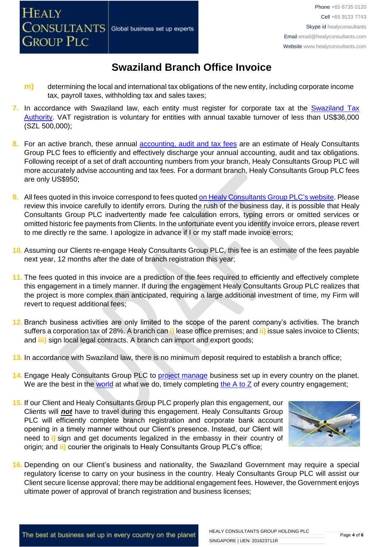- **m)** determining the local and international tax obligations of the new entity, including corporate income tax, payroll taxes, withholding tax and sales taxes;
- **7.** In accordance with Swaziland law, each entity must register for corporate tax at the [Swaziland Tax](http://www.sra.org.sz/index.php?option=com_content&view=article&id=88&Itemid=216)  [Authority.](http://www.sra.org.sz/index.php?option=com_content&view=article&id=88&Itemid=216) VAT registration is voluntary for entities with annual taxable turnover of less than US\$36,000 (SZL 500,000);
- **8.** For an active branch, these annual [accounting, audit and tax](http://www.healyconsultants.com/uae-company-registration/accounting-legal/) fees are an estimate of Healy Consultants Group PLC fees to efficiently and effectively discharge your annual accounting, audit and tax obligations. Following receipt of a set of draft accounting numbers from your branch, Healy Consultants Group PLC will more accurately advise accounting and tax fees. For a dormant branch, Healy Consultants Group PLC fees are only US\$950;
- **9.** All fees quoted in this invoice correspond to fees quoted [on Healy Consultants Group PLC's](http://www.healyconsultants.com/company-registration-fees/) website. Please review this invoice carefully to identify errors. During the rush of the business day, it is possible that Healy Consultants Group PLC inadvertently made fee calculation errors, typing errors or omitted services or omitted historic fee payments from Clients. In the unfortunate event you identify invoice errors, please revert to me directly re the same. I apologize in advance if I or my staff made invoice errors;
- **10.** Assuming our Clients re-engage Healy Consultants Group PLC, this fee is an estimate of the fees payable next year, 12 months after the date of branch registration this year;
- **11.** The fees quoted in this invoice are a prediction of the fees required to efficiently and effectively complete this engagement in a timely manner. If during the engagement Healy Consultants Group PLC realizes that the project is more complex than anticipated, requiring a large additional investment of time, my Firm will revert to request additional fees;
- **12.** Branch business activities are only limited to the scope of the parent company's activities. The branch suffers a corporation tax of 28%. A branch can **i)** lease office premises; and **ii)** issue sales invoice to Clients; and **iii)** sign local legal contracts. A branch can import and export goods;
- **13.** In accordance with Swaziland law, there is no minimum deposit required to establish a branch office;
- **14.** Engage Healy Consultants Group PLC to [project manage](http://www.healyconsultants.com/project-manage-engagements/) business set up in every country on the planet. We are the best in the [world](http://www.healyconsultants.com/best-in-the-world/) at what we do, timely completing the  $A$  to  $Z$  of every country engagement;
- **15.** If our Client and Healy Consultants Group PLC properly plan this engagement, our Clients will *not* have to travel during this engagement. Healy Consultants Group PLC will efficiently complete branch registration and corporate bank account opening in a timely manner without our Client's presence. Instead, our Client will need to **i)** sign and get documents legalized in the embassy in their country of origin; and **ii)** courier the originals to Healy Consultants Group PLC's office;



**16.** Depending on our Client's business and nationality, the Swaziland Government may require a special regulatory license to carry on your business in the country. Healy Consultants Group PLC will assist our Client secure license approval; there may be additional engagement fees. However, the Government enjoys ultimate power of approval of branch registration and business licenses;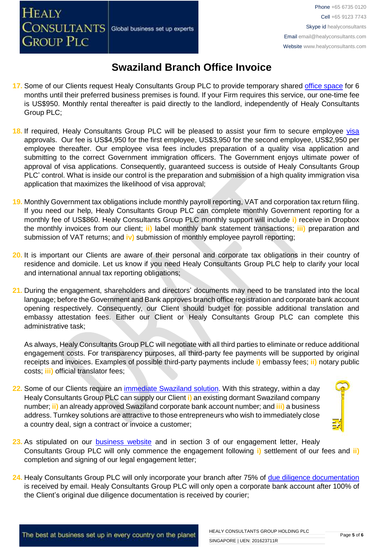- **17.** Some of our Clients request Healy Consultants Group PLC to provide temporary shared [office space](http://www.healyconsultants.com/virtual-office/) for 6 months until their preferred business premises is found. If your Firm requires this service, our one-time fee is US\$950. Monthly rental thereafter is paid directly to the landlord, independently of Healy Consultants Group PLC;
- 18. If required, Healy Consultants Group PLC will be pleased to assist your firm to secure employee [visa](http://www.healyconsultants.com/migration/) approvals. Our fee is US\$4,950 for the first employee, US\$3,950 for the second employee, US\$2,950 per employee thereafter. Our employee visa fees includes preparation of a quality visa application and submitting to the correct Government immigration officers. The Government enjoys ultimate power of approval of visa applications. Consequently, guaranteed success is outside of Healy Consultants Group PLC' control. What is inside our control is the preparation and submission of a high quality immigration visa application that maximizes the likelihood of visa approval;
- **19.** Monthly Government tax obligations include monthly payroll reporting, VAT and corporation tax return filing. If you need our help, Healy Consultants Group PLC can complete monthly Government reporting for a monthly fee of US\$860. Healy Consultants Group PLC monthly support will include **i)** receive in Dropbox the monthly invoices from our client; **ii)** label monthly bank statement transactions; **iii)** preparation and submission of VAT returns; and **iv)** submission of monthly employee payroll reporting;
- **20.** It is important our Clients are aware of their personal and corporate tax obligations in their country of residence and domicile. Let us know if you need Healy Consultants Group PLC help to clarify your local and international annual tax reporting obligations;
- **21.** During the engagement, shareholders and directors' documents may need to be translated into the local language; before the Government and Bank approves branch office registration and corporate bank account opening respectively. Consequently, our Client should budget for possible additional translation and embassy attestation fees. Either our Client or Healy Consultants Group PLC can complete this administrative task;

As always, Healy Consultants Group PLC will negotiate with all third parties to eliminate or reduce additional engagement costs. For transparency purposes, all third-party fee payments will be supported by original receipts and invoices. Examples of possible third-party payments include **i)** embassy fees; **ii)** notary public costs; **iii)** official translator fees;

**22.** Some of our Clients require an [immediate Swaziland](http://www.healyconsultants.com/turnkey-solutions/) solution. With this strategy, within a day Healy Consultants Group PLC can supply our Client **i)** an existing dormant Swaziland company number; **ii)** an already approved Swaziland corporate bank account number; and **iii)** a business address. Turnkey solutions are attractive to those entrepreneurs who wish to immediately close a country deal, sign a contract or invoice a customer;



- 23. As stipulated on our [business website](http://www.healyconsultants.com/) and in section 3 of our engagement letter, Healy Consultants Group PLC will only commence the engagement following **i)** settlement of our fees and **ii)** completion and signing of our legal engagement letter;
- **24.** Healy Consultants Group PLC will only incorporate your branch after 75% of [due diligence documentation](http://www.healyconsultants.com/due-diligence/) is received by email. Healy Consultants Group PLC will only open a corporate bank account after 100% of the Client's original due diligence documentation is received by courier;